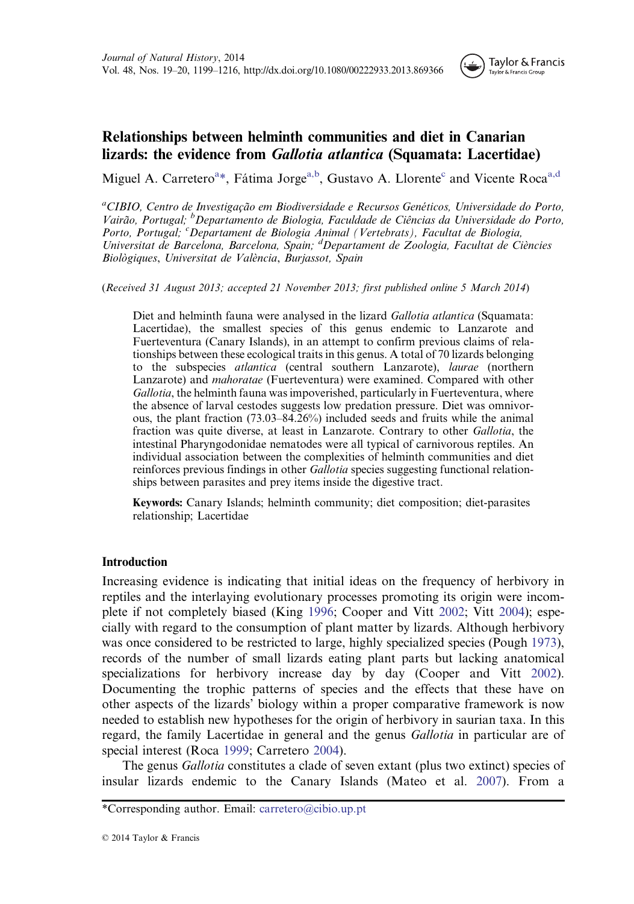

# Relationships between helminth communities and diet in Canarian lizards: the evidence from Gallotia atlantica (Squamata: Lacertidae)

Miguel A. Carretero<sup>a\*</sup>, Fátima Jorge<sup>a,b</sup>, Gustavo A. Llorente<sup>c</sup> and Vicente Roca<sup>a,d</sup>

<sup>a</sup>CIBIO, Centro de Investigação em Biodiversidade e Recursos Genéticos, Universidade do Porto, Vairão, Portugal; <sup>b</sup>Departamento de Biologia, Faculdade de Ciências da Universidade do Porto, Porto, Portugal; <sup>c</sup>Departament de Biologia Animal (Vertebrats), Facultat de Biologia, Universitat de Barcelona, Barcelona, Spain; <sup>d</sup>Departament de Zoologia, Facultat de Ciències Biològiques, Universitat de València, Burjassot, Spain

(Received 31 August 2013; accepted 21 November 2013; first published online 5 March 2014)

Diet and helminth fauna were analysed in the lizard *Gallotia atlantica* (Squamata: Lacertidae), the smallest species of this genus endemic to Lanzarote and Fuerteventura (Canary Islands), in an attempt to confirm previous claims of relationships between these ecological traits in this genus. A total of 70 lizards belonging to the subspecies atlantica (central southern Lanzarote), laurae (northern Lanzarote) and mahoratae (Fuerteventura) were examined. Compared with other Gallotia, the helminth fauna was impoverished, particularly in Fuerteventura, where the absence of larval cestodes suggests low predation pressure. Diet was omnivorous, the plant fraction (73.03–84.26%) included seeds and fruits while the animal fraction was quite diverse, at least in Lanzarote. Contrary to other Gallotia, the intestinal Pharyngodonidae nematodes were all typical of carnivorous reptiles. An individual association between the complexities of helminth communities and diet reinforces previous findings in other *Gallotia* species suggesting functional relationships between parasites and prey items inside the digestive tract.

Keywords: Canary Islands; helminth community; diet composition; diet-parasites relationship; Lacertidae

# Introduction

Increasing evidence is indicating that initial ideas on the frequency of herbivory in reptiles and the interlaying evolutionary processes promoting its origin were incomplete if not completely biased (King [1996;](#page-15-0) Cooper and Vitt [2002;](#page-14-0) Vitt [2004](#page-17-0)); especially with regard to the consumption of plant matter by lizards. Although herbivory was once considered to be restricted to large, highly specialized species (Pough [1973](#page-16-0)), records of the number of small lizards eating plant parts but lacking anatomical specializations for herbivory increase day by day (Cooper and Vitt [2002](#page-14-0)). Documenting the trophic patterns of species and the effects that these have on other aspects of the lizards' biology within a proper comparative framework is now needed to establish new hypotheses for the origin of herbivory in saurian taxa. In this regard, the family Lacertidae in general and the genus Gallotia in particular are of special interest (Roca [1999;](#page-16-0) Carretero [2004\)](#page-14-0).

The genus Gallotia constitutes a clade of seven extant (plus two extinct) species of insular lizards endemic to the Canary Islands (Mateo et al. [2007\)](#page-15-0). From a

<sup>\*</sup>Corresponding author. Email: carretero@cibio.up.pt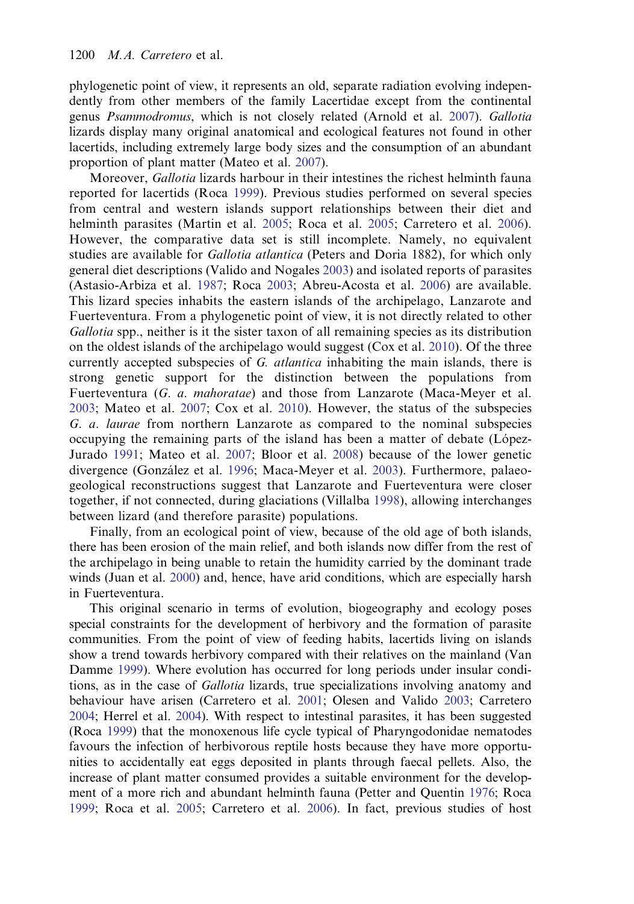phylogenetic point of view, it represents an old, separate radiation evolving independently from other members of the family Lacertidae except from the continental genus Psammodromus, which is not closely related (Arnold et al. [2007\)](#page-14-0). Gallotia lizards display many original anatomical and ecological features not found in other lacertids, including extremely large body sizes and the consumption of an abundant proportion of plant matter (Mateo et al. [2007\)](#page-15-0).

Moreover, *Gallotia* lizards harbour in their intestines the richest helminth fauna reported for lacertids (Roca [1999](#page-16-0)). Previous studies performed on several species from central and western islands support relationships between their diet and helminth parasites (Martin et al. [2005;](#page-15-0) Roca et al. [2005;](#page-16-0) Carretero et al. [2006\)](#page-14-0). However, the comparative data set is still incomplete. Namely, no equivalent studies are available for *Gallotia atlantica* (Peters and Doria 1882), for which only general diet descriptions (Valido and Nogales [2003\)](#page-16-0) and isolated reports of parasites (Astasio-Arbiza et al. [1987;](#page-14-0) Roca [2003](#page-16-0); Abreu-Acosta et al. [2006](#page-13-0)) are available. This lizard species inhabits the eastern islands of the archipelago, Lanzarote and Fuerteventura. From a phylogenetic point of view, it is not directly related to other Gallotia spp., neither is it the sister taxon of all remaining species as its distribution on the oldest islands of the archipelago would suggest (Cox et al. [2010](#page-14-0)). Of the three currently accepted subspecies of G. atlantica inhabiting the main islands, there is strong genetic support for the distinction between the populations from Fuerteventura (G. a. mahoratae) and those from Lanzarote (Maca-Meyer et al. [2003](#page-15-0); Mateo et al. [2007;](#page-15-0) Cox et al. [2010\)](#page-14-0). However, the status of the subspecies G. a. laurae from northern Lanzarote as compared to the nominal subspecies occupying the remaining parts of the island has been a matter of debate (López-Jurado [1991;](#page-15-0) Mateo et al. [2007;](#page-15-0) Bloor et al. [2008](#page-14-0)) because of the lower genetic divergence (González et al. [1996;](#page-15-0) Maca-Meyer et al. [2003](#page-15-0)). Furthermore, palaeogeological reconstructions suggest that Lanzarote and Fuerteventura were closer together, if not connected, during glaciations (Villalba [1998](#page-17-0)), allowing interchanges between lizard (and therefore parasite) populations.

Finally, from an ecological point of view, because of the old age of both islands, there has been erosion of the main relief, and both islands now differ from the rest of the archipelago in being unable to retain the humidity carried by the dominant trade winds (Juan et al. [2000](#page-15-0)) and, hence, have arid conditions, which are especially harsh in Fuerteventura.

This original scenario in terms of evolution, biogeography and ecology poses special constraints for the development of herbivory and the formation of parasite communities. From the point of view of feeding habits, lacertids living on islands show a trend towards herbivory compared with their relatives on the mainland (Van Damme [1999\)](#page-17-0). Where evolution has occurred for long periods under insular conditions, as in the case of Gallotia lizards, true specializations involving anatomy and behaviour have arisen (Carretero et al. [2001](#page-14-0); Olesen and Valido [2003;](#page-16-0) Carretero [2004;](#page-14-0) Herrel et al. [2004\)](#page-15-0). With respect to intestinal parasites, it has been suggested (Roca [1999](#page-16-0)) that the monoxenous life cycle typical of Pharyngodonidae nematodes favours the infection of herbivorous reptile hosts because they have more opportunities to accidentally eat eggs deposited in plants through faecal pellets. Also, the increase of plant matter consumed provides a suitable environment for the development of a more rich and abundant helminth fauna (Petter and Quentin [1976](#page-16-0); Roca [1999;](#page-16-0) Roca et al. [2005](#page-16-0); Carretero et al. [2006](#page-14-0)). In fact, previous studies of host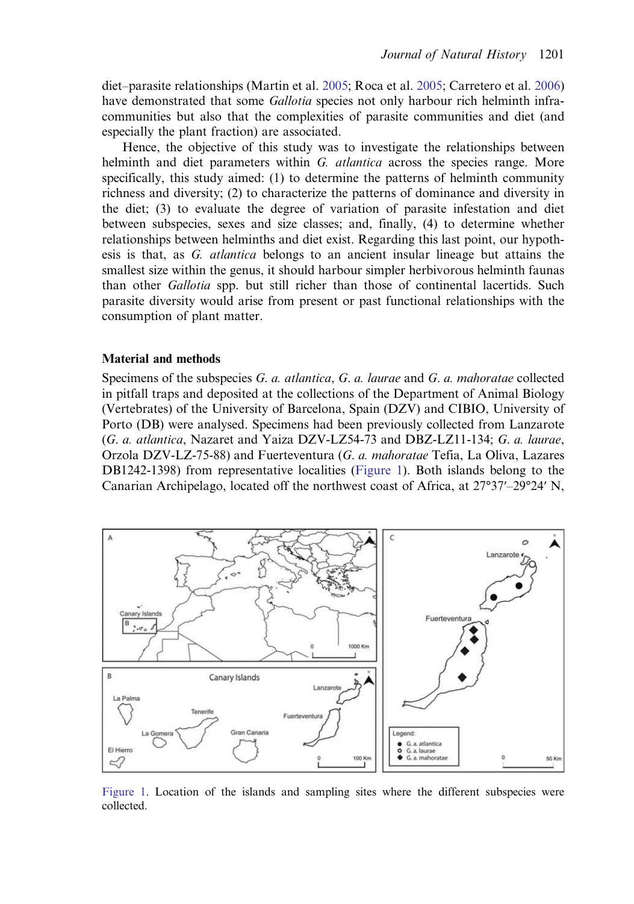<span id="page-2-0"></span>diet–parasite relationships (Martin et al. [2005;](#page-15-0) Roca et al. [2005](#page-16-0); Carretero et al. [2006](#page-14-0)) have demonstrated that some *Gallotia* species not only harbour rich helminth infracommunities but also that the complexities of parasite communities and diet (and especially the plant fraction) are associated.

Hence, the objective of this study was to investigate the relationships between helminth and diet parameters within G. atlantica across the species range. More specifically, this study aimed: (1) to determine the patterns of helminth community richness and diversity; (2) to characterize the patterns of dominance and diversity in the diet; (3) to evaluate the degree of variation of parasite infestation and diet between subspecies, sexes and size classes; and, finally, (4) to determine whether relationships between helminths and diet exist. Regarding this last point, our hypothesis is that, as G. atlantica belongs to an ancient insular lineage but attains the smallest size within the genus, it should harbour simpler herbivorous helminth faunas than other Gallotia spp. but still richer than those of continental lacertids. Such parasite diversity would arise from present or past functional relationships with the consumption of plant matter.

# Material and methods

Specimens of the subspecies G. a. atlantica, G. a. laurae and G. a. mahoratae collected in pitfall traps and deposited at the collections of the Department of Animal Biology (Vertebrates) of the University of Barcelona, Spain (DZV) and CIBIO, University of Porto (DB) were analysed. Specimens had been previously collected from Lanzarote (G. a. atlantica, Nazaret and Yaiza DZV-LZ54-73 and DBZ-LZ11-134; G. a. laurae, Orzola DZV-LZ-75-88) and Fuerteventura (G. a. mahoratae Tefia, La Oliva, Lazares DB1242-1398) from representative localities (Figure 1). Both islands belong to the Canarian Archipelago, located off the northwest coast of Africa, at 27°37′–29°24′ N,



Figure 1. Location of the islands and sampling sites where the different subspecies were collected.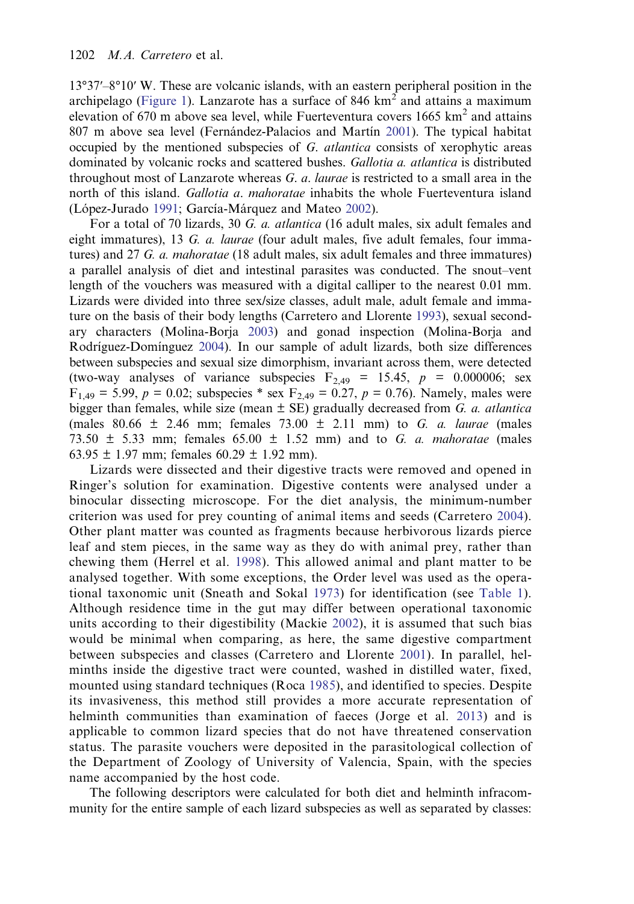13°37′–8°10′ W. These are volcanic islands, with an eastern peripheral position in the archipelago ([Figure 1\)](#page-2-0). Lanzarote has a surface of 846  $km^2$  and attains a maximum elevation of 670 m above sea level, while Fuerteventura covers 1665  $km^2$  and attains 807 m above sea level (Fernández-Palacios and Martín [2001](#page-14-0)). The typical habitat occupied by the mentioned subspecies of G. atlantica consists of xerophytic areas dominated by volcanic rocks and scattered bushes. Gallotia a. atlantica is distributed throughout most of Lanzarote whereas  $G$ .  $a$ . laurae is restricted to a small area in the north of this island. *Gallotia a. mahoratae* inhabits the whole Fuerteventura island (López-Jurado [1991](#page-15-0); García-Márquez and Mateo [2002\)](#page-14-0).

For a total of 70 lizards, 30 G. a. atlantica (16 adult males, six adult females and eight immatures), 13 G. a. laurae (four adult males, five adult females, four immatures) and 27 G. a. mahoratae (18 adult males, six adult females and three immatures) a parallel analysis of diet and intestinal parasites was conducted. The snout–vent length of the vouchers was measured with a digital calliper to the nearest 0.01 mm. Lizards were divided into three sex/size classes, adult male, adult female and immature on the basis of their body lengths (Carretero and Llorente [1993\)](#page-14-0), sexual secondary characters (Molina-Borja [2003](#page-15-0)) and gonad inspection (Molina-Borja and Rodríguez-Domínguez [2004\)](#page-15-0). In our sample of adult lizards, both size differences between subspecies and sexual size dimorphism, invariant across them, were detected (two-way analyses of variance subspecies  $F_{2,49} = 15.45$ ,  $p = 0.000006$ ; sex  $F_{1,49} = 5.99, p = 0.02$ ; subspecies \* sex  $F_{2,49} = 0.27, p = 0.76$ ). Namely, males were bigger than females, while size (mean  $\pm$  SE) gradually decreased from G. a. atlantica (males 80.66 ± 2.46 mm; females 73.00 ± 2.11 mm) to G. a. laurae (males 73.50  $\pm$  5.33 mm; females 65.00  $\pm$  1.52 mm) and to G. a. mahoratae (males  $63.95 \pm 1.97$  mm; females  $60.29 \pm 1.92$  mm).

Lizards were dissected and their digestive tracts were removed and opened in Ringer's solution for examination. Digestive contents were analysed under a binocular dissecting microscope. For the diet analysis, the minimum-number criterion was used for prey counting of animal items and seeds (Carretero [2004\)](#page-14-0). Other plant matter was counted as fragments because herbivorous lizards pierce leaf and stem pieces, in the same way as they do with animal prey, rather than chewing them (Herrel et al. [1998\)](#page-15-0). This allowed animal and plant matter to be analysed together. With some exceptions, the Order level was used as the operational taxonomic unit (Sneath and Sokal [1973\)](#page-16-0) for identification (see [Table 1\)](#page-4-0). Although residence time in the gut may differ between operational taxonomic units according to their digestibility (Mackie [2002](#page-15-0)), it is assumed that such bias would be minimal when comparing, as here, the same digestive compartment between subspecies and classes (Carretero and Llorente [2001](#page-14-0)). In parallel, helminths inside the digestive tract were counted, washed in distilled water, fixed, mounted using standard techniques (Roca [1985](#page-16-0)), and identified to species. Despite its invasiveness, this method still provides a more accurate representation of helminth communities than examination of faeces (Jorge et al. [2013](#page-15-0)) and is applicable to common lizard species that do not have threatened conservation status. The parasite vouchers were deposited in the parasitological collection of the Department of Zoology of University of Valencia, Spain, with the species name accompanied by the host code.

The following descriptors were calculated for both diet and helminth infracommunity for the entire sample of each lizard subspecies as well as separated by classes: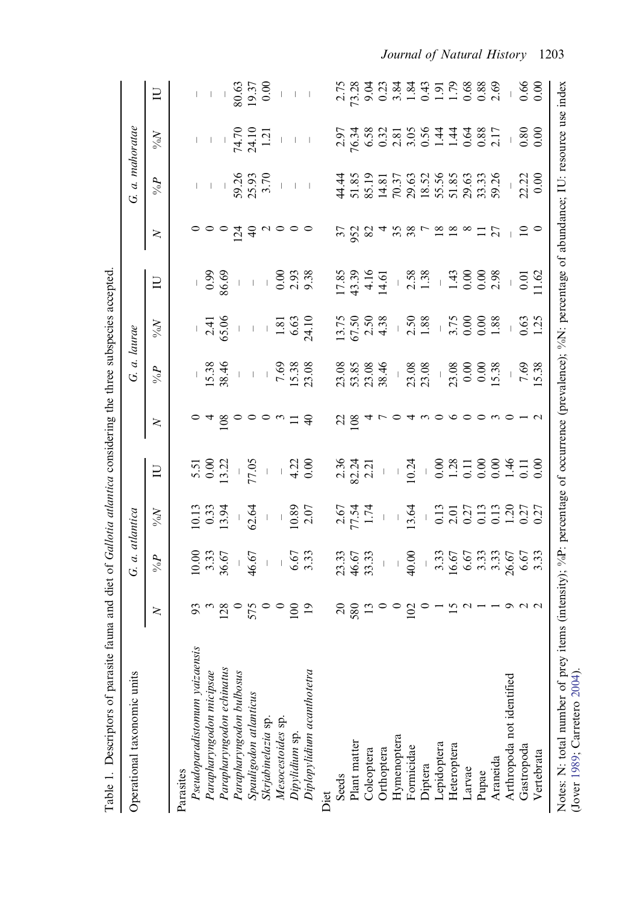<span id="page-4-0"></span>

| tant is produced in the        |                 |                                                                                                                                                                                                                                                                                                                |                                                                                                |                                                                                                                                                                                                                                                                            |                     | stringen and mind string                                                                                                                                                                                                                                                                                |                                                                                                            |                                                                                                                     |                                                          |                                                                |                                                         |                |
|--------------------------------|-----------------|----------------------------------------------------------------------------------------------------------------------------------------------------------------------------------------------------------------------------------------------------------------------------------------------------------------|------------------------------------------------------------------------------------------------|----------------------------------------------------------------------------------------------------------------------------------------------------------------------------------------------------------------------------------------------------------------------------|---------------------|---------------------------------------------------------------------------------------------------------------------------------------------------------------------------------------------------------------------------------------------------------------------------------------------------------|------------------------------------------------------------------------------------------------------------|---------------------------------------------------------------------------------------------------------------------|----------------------------------------------------------|----------------------------------------------------------------|---------------------------------------------------------|----------------|
| Operational taxonomic units    |                 | G. a. atlantica                                                                                                                                                                                                                                                                                                |                                                                                                |                                                                                                                                                                                                                                                                            |                     | G. a. laurae                                                                                                                                                                                                                                                                                            |                                                                                                            |                                                                                                                     |                                                          | G. a. mahoratae                                                |                                                         |                |
|                                | $\geq$          | $\delta \%$                                                                                                                                                                                                                                                                                                    | $N^{\rm o}\!N$                                                                                 | $\Box$                                                                                                                                                                                                                                                                     | $\geq$              | $\sigma^{\vee}_{0/6}$                                                                                                                                                                                                                                                                                   | $N^{\rm o}\!N$                                                                                             | $\Box$                                                                                                              | $\geq$                                                   | $\delta \%$                                                    | $N^{\rm 6}\!N$                                          | $\Xi$          |
| Parasites                      |                 |                                                                                                                                                                                                                                                                                                                |                                                                                                |                                                                                                                                                                                                                                                                            |                     |                                                                                                                                                                                                                                                                                                         |                                                                                                            |                                                                                                                     |                                                          |                                                                |                                                         |                |
| Pseudoparadistomum yaizaensis  |                 |                                                                                                                                                                                                                                                                                                                |                                                                                                |                                                                                                                                                                                                                                                                            |                     |                                                                                                                                                                                                                                                                                                         |                                                                                                            |                                                                                                                     |                                                          |                                                                |                                                         |                |
| Parapharyngodon micipsae       |                 | 10.00<br>3.33<br>36.67<br>46.67<br>46.67<br>6.67                                                                                                                                                                                                                                                               | $12.33$<br>$-3.34$<br>$-62.64$<br>$-1.89$<br>$-1.89$<br>$-2.07$                                | 5.51<br>$0.00$<br>$0.00$<br>$13.22$<br>$77.05$<br>$13.22$<br>$77.05$                                                                                                                                                                                                       |                     | $\frac{15.38}{38.46}$<br>$\frac{46}{15.38}$<br>$\frac{1}{25.38}$<br>$\frac{1}{25.38}$<br>$\frac{1}{25.38}$                                                                                                                                                                                              | $-2.41$<br>$65.06$<br>$-1.81$<br>$6.63$<br>$6.63$                                                          | $-99.69$<br>$-8.69$<br>$-10.00$<br>$-0.03$<br>$-0.38$                                                               | $\circ \circ \circ \frac{1}{4}$ $\circ \circ \circ$      | $-1$ $-1$ $-3$ 3.5 3.7 $ -1$ $ -$ 5.5 3.7 $\frac{3}{2}$ $   -$ | $1 + \frac{56}{74.71}$<br>$74.71$<br>$74.71$<br>$1 - 1$ |                |
| Parapharyngodon echinatus      |                 |                                                                                                                                                                                                                                                                                                                |                                                                                                |                                                                                                                                                                                                                                                                            |                     |                                                                                                                                                                                                                                                                                                         |                                                                                                            |                                                                                                                     |                                                          |                                                                |                                                         |                |
| Parapharyngodon bulbosus       |                 |                                                                                                                                                                                                                                                                                                                |                                                                                                |                                                                                                                                                                                                                                                                            |                     |                                                                                                                                                                                                                                                                                                         |                                                                                                            |                                                                                                                     |                                                          |                                                                |                                                         |                |
| Spauligodon atlanticus         |                 |                                                                                                                                                                                                                                                                                                                |                                                                                                |                                                                                                                                                                                                                                                                            | 480000000000        |                                                                                                                                                                                                                                                                                                         |                                                                                                            |                                                                                                                     |                                                          |                                                                |                                                         |                |
| Skrjabinelazia sp.             |                 |                                                                                                                                                                                                                                                                                                                |                                                                                                |                                                                                                                                                                                                                                                                            |                     |                                                                                                                                                                                                                                                                                                         |                                                                                                            |                                                                                                                     |                                                          |                                                                |                                                         |                |
| Mesocestoides sp.              |                 |                                                                                                                                                                                                                                                                                                                |                                                                                                |                                                                                                                                                                                                                                                                            |                     |                                                                                                                                                                                                                                                                                                         |                                                                                                            |                                                                                                                     |                                                          |                                                                |                                                         |                |
| Dipylidium sp.                 |                 |                                                                                                                                                                                                                                                                                                                |                                                                                                |                                                                                                                                                                                                                                                                            |                     |                                                                                                                                                                                                                                                                                                         |                                                                                                            |                                                                                                                     |                                                          |                                                                |                                                         |                |
| Diplopylidium acanthotetra     | $\frac{2}{9}$   |                                                                                                                                                                                                                                                                                                                |                                                                                                |                                                                                                                                                                                                                                                                            |                     |                                                                                                                                                                                                                                                                                                         |                                                                                                            |                                                                                                                     |                                                          |                                                                |                                                         |                |
| Diet                           |                 |                                                                                                                                                                                                                                                                                                                |                                                                                                |                                                                                                                                                                                                                                                                            |                     |                                                                                                                                                                                                                                                                                                         |                                                                                                            |                                                                                                                     |                                                          |                                                                |                                                         |                |
| Seeds                          | $\approx$       |                                                                                                                                                                                                                                                                                                                |                                                                                                |                                                                                                                                                                                                                                                                            |                     |                                                                                                                                                                                                                                                                                                         |                                                                                                            |                                                                                                                     |                                                          |                                                                |                                                         |                |
| Plant matter                   | 580             | $\begin{array}{cccc} 23.33, & 25.33 \\ 46.67, & 53.33 \\ 43.33 & - & 6.5 \\ 4 & 0.0 & 0 \\ 4 & 0.0 & 0 \\ 5 & 0.0 & 0 \\ 6 & 0.0 & 0 \\ 7 & 0.0 & 0 \\ 8 & 0.0 & 0 \\ 9 & 0.0 & 0 \\ 10 & 0.0 & 0 \\ 11 & 0.0 & 0 \\ 12 & 0.0 & 0 \\ 13 & 0.0 & 0 \\ 14 & 0.0 & 0 \\ 15 & 0.0 & 0 \\ 16 & 0.0 & 0 \\ 17 & 0.0$ | $77.54$<br>$7.54$                                                                              | 2.36<br>82.21<br>2.21                                                                                                                                                                                                                                                      | $\frac{22}{108}$    | $\begin{array}{l} 23.08 \\ 23.85 \\ 23.38 \\ 24.4 \\ 25.08 \\ 23.08 \\ 24.08 \\ 25.08 \\ 23.08 \\ 24.08 \\ 25.08 \\ 26.00 \\ 27.08 \\ 28.00 \\ 29.00 \\ 25.38 \\ 26.00 \\ 27.00 \\ 28.0 \\ 29.0 \\ 25.38 \\ 29.0 \\ 25.38 \\ 27.0 \\ 28.0 \\ 29.0 \\ 29.0 \\ 20.0 \\ 20.0 \\ 25.0 \\ 27.0 \\ 28.0 \\ 2$ | $13.75$<br>$75.50$<br>$80.43$<br>$13.88$<br>$15.50$<br>$15.50$<br>$15.50$<br>$15.50$<br>$15.50$<br>$15.50$ | $17.85$<br>$17.47 - 8.88$<br>$17.47 - 1.47$<br>$17.47 - 1.49$<br>$17.49 - 1.49$<br>$17.49 - 1.49$<br>$17.49 - 1.49$ | 528                                                      |                                                                | $7.58888885877$                                         |                |
| Coleoptera                     |                 |                                                                                                                                                                                                                                                                                                                |                                                                                                |                                                                                                                                                                                                                                                                            |                     |                                                                                                                                                                                                                                                                                                         |                                                                                                            |                                                                                                                     |                                                          |                                                                |                                                         |                |
| Orthoptera                     |                 |                                                                                                                                                                                                                                                                                                                |                                                                                                | $\frac{1}{2}$                                                                                                                                                                                                                                                              |                     |                                                                                                                                                                                                                                                                                                         |                                                                                                            |                                                                                                                     |                                                          |                                                                |                                                         |                |
| Hymenoptera                    |                 |                                                                                                                                                                                                                                                                                                                |                                                                                                |                                                                                                                                                                                                                                                                            |                     |                                                                                                                                                                                                                                                                                                         |                                                                                                            |                                                                                                                     |                                                          |                                                                |                                                         |                |
| Formicidae                     | $\frac{100}{2}$ |                                                                                                                                                                                                                                                                                                                | 13.64                                                                                          | $\begin{array}{rrrrrr}\n & 0.24 & 0.000 & 0.000 & 0.000 & 0.000 & 0.000 & 0.000 & 0.000 & 0.000 & 0.000 & 0.000 & 0.000 & 0.000 & 0.000 & 0.000 & 0.000 & 0.000 & 0.000 & 0.000 & 0.000 & 0.000 & 0.000 & 0.000 & 0.000 & 0.000 & 0.000 & 0.000 & 0.000 & 0.000 & 0.000 &$ |                     |                                                                                                                                                                                                                                                                                                         |                                                                                                            |                                                                                                                     | $\begin{array}{c}\n5.8 \\ 5.8 \\ 6.8 \\ 7.\n\end{array}$ |                                                                |                                                         |                |
| Diptera                        |                 |                                                                                                                                                                                                                                                                                                                |                                                                                                |                                                                                                                                                                                                                                                                            |                     |                                                                                                                                                                                                                                                                                                         |                                                                                                            |                                                                                                                     |                                                          |                                                                |                                                         |                |
| Lepidoptera                    |                 |                                                                                                                                                                                                                                                                                                                | $\begin{array}{c} 0.13 \\ 2.01 \\ 0.27 \\ 0.13 \\ 0.13 \\ 0.27 \\ 0.37 \\ 0.27 \\ \end{array}$ |                                                                                                                                                                                                                                                                            |                     |                                                                                                                                                                                                                                                                                                         |                                                                                                            |                                                                                                                     |                                                          |                                                                |                                                         |                |
| Heteroptera                    | $-50 - 7$       |                                                                                                                                                                                                                                                                                                                |                                                                                                |                                                                                                                                                                                                                                                                            | $\circ \circ \circ$ |                                                                                                                                                                                                                                                                                                         |                                                                                                            |                                                                                                                     |                                                          |                                                                |                                                         |                |
| Larvae                         |                 |                                                                                                                                                                                                                                                                                                                |                                                                                                |                                                                                                                                                                                                                                                                            |                     |                                                                                                                                                                                                                                                                                                         |                                                                                                            |                                                                                                                     |                                                          |                                                                |                                                         |                |
| Pupae                          |                 |                                                                                                                                                                                                                                                                                                                |                                                                                                |                                                                                                                                                                                                                                                                            |                     |                                                                                                                                                                                                                                                                                                         |                                                                                                            |                                                                                                                     |                                                          |                                                                |                                                         |                |
| Araneida                       |                 |                                                                                                                                                                                                                                                                                                                |                                                                                                |                                                                                                                                                                                                                                                                            |                     |                                                                                                                                                                                                                                                                                                         |                                                                                                            |                                                                                                                     |                                                          |                                                                |                                                         |                |
| Arthropoda not identified      |                 |                                                                                                                                                                                                                                                                                                                |                                                                                                |                                                                                                                                                                                                                                                                            |                     |                                                                                                                                                                                                                                                                                                         |                                                                                                            |                                                                                                                     |                                                          |                                                                |                                                         |                |
| Gastropoda                     |                 |                                                                                                                                                                                                                                                                                                                |                                                                                                |                                                                                                                                                                                                                                                                            |                     | $-7.69$<br>5.38                                                                                                                                                                                                                                                                                         | 0.63                                                                                                       | $-0.01$<br>1.62                                                                                                     | $\frac{1}{2}$ 0                                          | 22.22                                                          | $\frac{0.80}{0.00}$                                     | $0.66$<br>0.00 |
| Vertebrata                     |                 |                                                                                                                                                                                                                                                                                                                |                                                                                                |                                                                                                                                                                                                                                                                            |                     |                                                                                                                                                                                                                                                                                                         |                                                                                                            |                                                                                                                     |                                                          |                                                                |                                                         |                |
| Notes: N: total number of prey |                 | items (intensity); %P: percentage of occurrence (prevalence); %N: percentage of abundance; IU: resource use index                                                                                                                                                                                              |                                                                                                |                                                                                                                                                                                                                                                                            |                     |                                                                                                                                                                                                                                                                                                         |                                                                                                            |                                                                                                                     |                                                          |                                                                |                                                         |                |

Table 1. Descriptors of parasite fauna and diet of *Gallotia atlantica* considering the three subspecies accepted. Table 1. Descriptors of parasite fauna and diet of Gallotia atlantica considering the three subspecies accepted. Journal of Natural History 1203

(Jover [1989](#page-15-0); Carretero [2004](#page-14-0)).

(Jover 1989; Carretero 2004).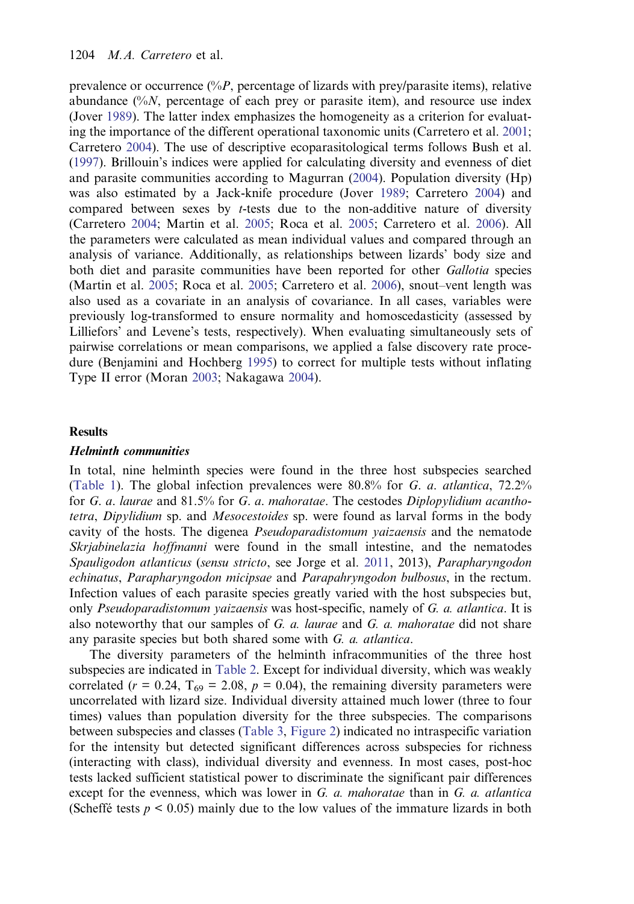prevalence or occurrence  $(\%P)$ , percentage of lizards with prey/parasite items), relative abundance  $\frac{6}{6}N$ , percentage of each prey or parasite item), and resource use index (Jover [1989\)](#page-15-0). The latter index emphasizes the homogeneity as a criterion for evaluating the importance of the different operational taxonomic units (Carretero et al. [2001](#page-14-0); Carretero [2004](#page-14-0)). The use of descriptive ecoparasitological terms follows Bush et al. [\(1997](#page-14-0)). Brillouin's indices were applied for calculating diversity and evenness of diet and parasite communities according to Magurran ([2004\)](#page-15-0). Population diversity (Hp) was also estimated by a Jack-knife procedure (Jover [1989;](#page-15-0) Carretero [2004\)](#page-14-0) and compared between sexes by  $t$ -tests due to the non-additive nature of diversity (Carretero [2004](#page-14-0); Martin et al. [2005;](#page-15-0) Roca et al. [2005](#page-16-0); Carretero et al. [2006](#page-14-0)). All the parameters were calculated as mean individual values and compared through an analysis of variance. Additionally, as relationships between lizards' body size and both diet and parasite communities have been reported for other *Gallotia* species (Martin et al. [2005;](#page-15-0) Roca et al. [2005](#page-16-0); Carretero et al. [2006\)](#page-14-0), snout–vent length was also used as a covariate in an analysis of covariance. In all cases, variables were previously log-transformed to ensure normality and homoscedasticity (assessed by Lilliefors' and Levene's tests, respectively). When evaluating simultaneously sets of pairwise correlations or mean comparisons, we applied a false discovery rate procedure (Benjamini and Hochberg [1995](#page-14-0)) to correct for multiple tests without inflating Type II error (Moran [2003;](#page-16-0) Nakagawa [2004\)](#page-16-0).

# **Results**

#### Helminth communities

In total, nine helminth species were found in the three host subspecies searched [\(Table 1\)](#page-4-0). The global infection prevalences were 80.8% for G. a. atlantica, 72.2% for G. a. laurae and  $81.5\%$  for G. a. mahoratae. The cestodes Diplopylidium acanthotetra, Dipylidium sp. and Mesocestoides sp. were found as larval forms in the body cavity of the hosts. The digenea Pseudoparadistomum yaizaensis and the nematode Skrjabinelazia hoffmanni were found in the small intestine, and the nematodes Spauligodon atlanticus (sensu stricto, see Jorge et al. [2011](#page-15-0), 2013), Parapharyngodon echinatus, Parapharyngodon micipsae and Parapahryngodon bulbosus, in the rectum. Infection values of each parasite species greatly varied with the host subspecies but, only *Pseudoparadistomum yaizaensis* was host-specific, namely of G. a. atlantica. It is also noteworthy that our samples of  $G$ .  $a$ . laurae and  $G$ .  $a$ . mahoratae did not share any parasite species but both shared some with G. a. atlantica.

The diversity parameters of the helminth infracommunities of the three host subspecies are indicated in [Table 2](#page-6-0). Except for individual diversity, which was weakly correlated ( $r = 0.24$ ,  $T_{69} = 2.08$ ,  $p = 0.04$ ), the remaining diversity parameters were uncorrelated with lizard size. Individual diversity attained much lower (three to four times) values than population diversity for the three subspecies. The comparisons between subspecies and classes ([Table 3,](#page-7-0) [Figure 2](#page-8-0)) indicated no intraspecific variation for the intensity but detected significant differences across subspecies for richness (interacting with class), individual diversity and evenness. In most cases, post-hoc tests lacked sufficient statistical power to discriminate the significant pair differences except for the evenness, which was lower in  $G$ .  $a$ . mahoratae than in  $G$ .  $a$ . atlantica (Scheffé tests  $p \le 0.05$ ) mainly due to the low values of the immature lizards in both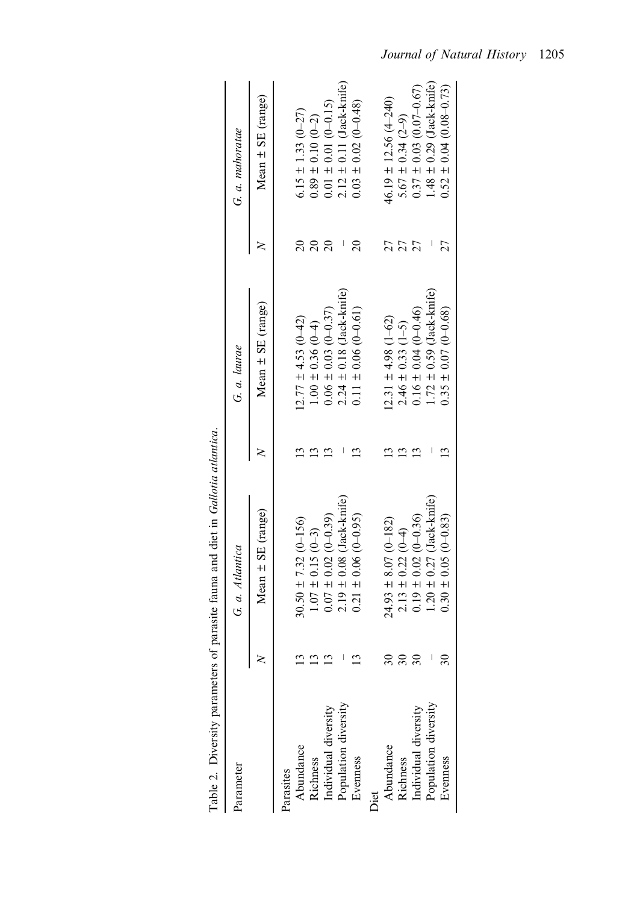<span id="page-6-0"></span>

| Table 2. Diversity parameters of | parasite fauna and diet in Gallotia atlantica. |                                               |           |                               |
|----------------------------------|------------------------------------------------|-----------------------------------------------|-----------|-------------------------------|
| Parameter                        | G. a. Atlantica                                | G. a. laurae                                  |           | G. a. mahoratae               |
|                                  | Mean $\pm$ SE (range)                          | Mean $\pm$ SE (range)                         |           | Mean $\pm$ SE (range)         |
| Parasites                        |                                                |                                               |           |                               |
| Abundance                        | $30.50 \pm 7.32 (0 - 156)$                     | $2.77 \pm 4.53$ (0-42)                        | $\approx$ | $6.15 \pm 1.33$ $(0-27)$      |
| Richness                         | $1.07 \pm 0.15$ (0-3)                          | $1.00 \pm 0.36(0-4)$                          | $\Omega$  | $0.89 \pm 0.10 (0-2)$         |
| Individual diversity             | $0.07 \pm 0.02$ (0-0.39)                       | $0.06 \pm 0.03$ (0-0.37)                      | $\Omega$  | $0.01 \pm 0.01 (0 - 0.15)$    |
| Population diversity             | $2.19 \pm 0.08$ (Jack-knife)                   | $2.24 \pm 0.18$ (Jack-knife)                  |           | $2.12 \pm 0.11$ (Jack-knife)  |
| Evenness                         | $0.21 \pm 0.06 (0 - 0.95)$                     | $0.11 \pm 0.06(0-0.61)$                       | $\Omega$  | $0.03 \pm 0.02$ (0-0.48)      |
| Diet                             |                                                |                                               |           |                               |
| Abundance                        | $24.93 \pm 8.07$ (0-182)                       | $(2.31 \pm 4.98) (1-62)$                      | 27        | $46.19 \pm 12.56 \ (4 - 240)$ |
| Richness                         | $2.13 \pm 0.22$ (0-4)                          |                                               | 27        | 5.67 ± 0.34 $(2-9)$           |
| Individual diversity             | $0.19 \pm 0.02 (0 - 0.36)$                     | $2.46 \pm 0.33$ (1-5)<br>0.16 ± 0.04 (0-0.46) | 27        | $0.37 \pm 0.03$ (0.07-0.67)   |
| Population diversity             | $1.20 \pm 0.27$ (Jack-knife)                   | $1.72 \pm 0.59$ (Jack-knife)                  |           | $1.48 \pm 0.29$ (Jack-knife)  |
| Evenness                         | $0.30 \pm 0.05 (0 - 0.83)$                     | $0.35 \pm 0.07$ (0-0.68)                      |           | $0.52 \pm 0.04 (0.08 - 0.73)$ |
|                                  |                                                |                                               |           |                               |

| 7.7777<br>i<br><                                 |
|--------------------------------------------------|
|                                                  |
| 1                                                |
| i                                                |
| $-1$                                             |
| l                                                |
| 1                                                |
| re en motarc of pararta found and diat in f<br>ı |
| ֡֡֡<br>i                                         |
| .<br>.<br>.<br>r<br>F<br>i                       |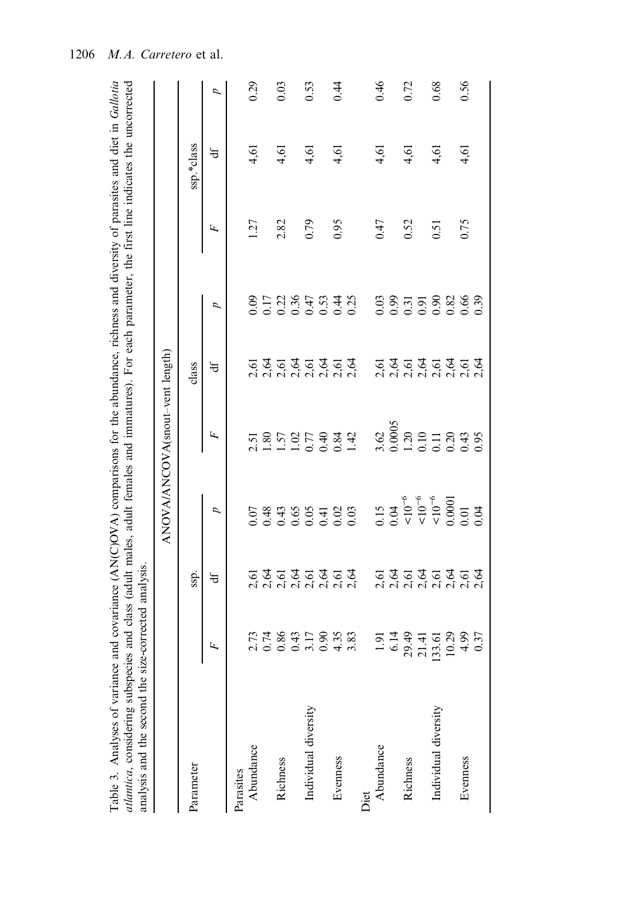<span id="page-7-0"></span>

| Table 3. Analyses of variance and covariance (AN(C)OVA) comparisons for the abundance, richness and diversity of parasites and diet in Gallotia<br><i>atlantica</i> , considering subspecies and class (adult males, adult females and immatures). For each parameter, the first line indicates the uncorrected<br>analysis and the second the size-corrected analysis. |                                           |                                    |                                                                        |                                                                   |                                                         |                                       |      |            |      |
|-------------------------------------------------------------------------------------------------------------------------------------------------------------------------------------------------------------------------------------------------------------------------------------------------------------------------------------------------------------------------|-------------------------------------------|------------------------------------|------------------------------------------------------------------------|-------------------------------------------------------------------|---------------------------------------------------------|---------------------------------------|------|------------|------|
|                                                                                                                                                                                                                                                                                                                                                                         |                                           |                                    |                                                                        | ANOVA/ANCOVA(snout-vent length)                                   |                                                         |                                       |      |            |      |
| Parameter                                                                                                                                                                                                                                                                                                                                                               |                                           | ssp.                               |                                                                        |                                                                   | class                                                   |                                       |      | ssp.*class |      |
|                                                                                                                                                                                                                                                                                                                                                                         | Ŀ,                                        | đ                                  | σ                                                                      | Ε,                                                                | ₩                                                       | d                                     | Ε,   | ₩          | d    |
| Parasites                                                                                                                                                                                                                                                                                                                                                               |                                           |                                    |                                                                        |                                                                   |                                                         |                                       |      |            |      |
| Abundance                                                                                                                                                                                                                                                                                                                                                               |                                           |                                    |                                                                        |                                                                   |                                                         |                                       | 1.27 | 4,61       | 0.29 |
|                                                                                                                                                                                                                                                                                                                                                                         | 2.73                                      |                                    |                                                                        | 2.51<br>1.80                                                      |                                                         |                                       |      |            |      |
| Richness                                                                                                                                                                                                                                                                                                                                                                | 1.86                                      |                                    |                                                                        |                                                                   |                                                         |                                       | 2.82 | 4,61       | 0.03 |
|                                                                                                                                                                                                                                                                                                                                                                         | (43)                                      |                                    |                                                                        |                                                                   |                                                         |                                       |      |            |      |
| Individual diversity                                                                                                                                                                                                                                                                                                                                                    | 3.17                                      | ភ្ជិ៍ក្នុងក្នុង<br>ក្នុងក្នុងក្នុង |                                                                        | $1.57$<br>$1.02$<br>$1.0484$<br>$1.0342$<br>$1.00042$             | ธริธริธริธร<br>ลัลลัสต์ลัลล์                            | 0011867536<br>0011867536<br>000000000 | 0.79 | 4,61       | 0.53 |
|                                                                                                                                                                                                                                                                                                                                                                         |                                           |                                    |                                                                        |                                                                   |                                                         |                                       |      |            |      |
| Evenness                                                                                                                                                                                                                                                                                                                                                                | 0.90                                      |                                    |                                                                        |                                                                   |                                                         |                                       | 0.95 | 4,61       | 0.44 |
|                                                                                                                                                                                                                                                                                                                                                                         | .83                                       |                                    |                                                                        |                                                                   |                                                         |                                       |      |            |      |
| Diet                                                                                                                                                                                                                                                                                                                                                                    |                                           |                                    |                                                                        |                                                                   |                                                         |                                       |      |            |      |
| Abundance                                                                                                                                                                                                                                                                                                                                                               | 5                                         |                                    |                                                                        |                                                                   |                                                         |                                       | 0.47 | 4,61       | 0.46 |
|                                                                                                                                                                                                                                                                                                                                                                         | 5.14                                      |                                    |                                                                        | $\frac{3.62}{0.0005}$                                             |                                                         |                                       |      |            |      |
| Richness                                                                                                                                                                                                                                                                                                                                                                | $49$                                      |                                    |                                                                        |                                                                   |                                                         |                                       | 0.52 | 4,61       | 0.72 |
|                                                                                                                                                                                                                                                                                                                                                                         | $\dot{=}$<br>ล ส                          |                                    |                                                                        |                                                                   |                                                         |                                       |      |            |      |
| Individual diversity                                                                                                                                                                                                                                                                                                                                                    | 133                                       |                                    | $0.15$<br>$0.04$<br>$0.04$<br>$0.05$ $\degree$<br>$0.0001$<br>$0.0001$ | $\begin{array}{c} 20 \\ 0.10 \\ 0.11 \\ 0.20 \\ 0.43 \end{array}$ |                                                         | 33558886                              | 0.51 | 4,61       | 0.68 |
|                                                                                                                                                                                                                                                                                                                                                                         | $\frac{5}{0}$ $\frac{2}{3}$ $\frac{3}{4}$ |                                    |                                                                        |                                                                   |                                                         |                                       |      |            |      |
| Evenness                                                                                                                                                                                                                                                                                                                                                                |                                           | ธุรีธรีธรีธรี<br>ลัลล์ล์ล์ล์ล์     |                                                                        |                                                                   | 5 3 5 3 5 3 5 5 5<br>6 6 6 7 6 7 6 7<br>6 7 6 7 6 7 6 7 |                                       | 0.75 | 4,61       | 0.56 |
|                                                                                                                                                                                                                                                                                                                                                                         | 0.37                                      |                                    | 0.04                                                                   | 1.95                                                              |                                                         | 0.39                                  |      |            |      |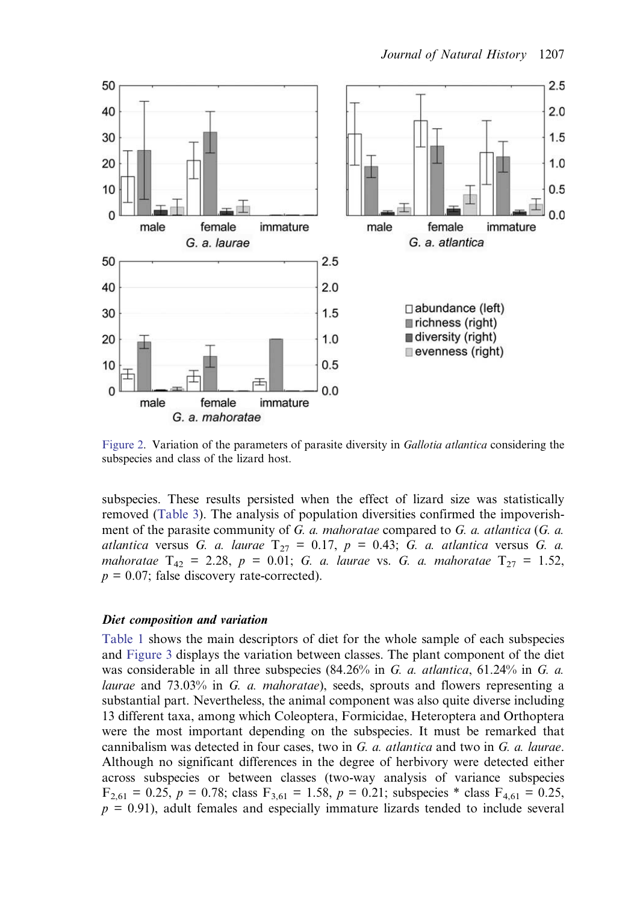<span id="page-8-0"></span>

Figure 2. Variation of the parameters of parasite diversity in Gallotia atlantica considering the subspecies and class of the lizard host.

subspecies. These results persisted when the effect of lizard size was statistically removed [\(Table 3\)](#page-7-0). The analysis of population diversities confirmed the impoverishment of the parasite community of G. a. mahoratae compared to G. a. atlantica (G. a. atlantica versus G. a. laurae  $T_{27} = 0.17$ ,  $p = 0.43$ ; G. a. atlantica versus G. a. mahoratae  $T_{42} = 2.28$ ,  $p = 0.01$ ; G. a. laurae vs. G. a. mahoratae  $T_{27} = 1.52$ ,  $p = 0.07$ ; false discovery rate-corrected).

# Diet composition and variation

[Table 1](#page-4-0) shows the main descriptors of diet for the whole sample of each subspecies and [Figure 3](#page-9-0) displays the variation between classes. The plant component of the diet was considerable in all three subspecies  $(84.26\%$  in G. a. atlantica, 61.24% in G. a. laurae and 73.03% in G. a. mahoratae), seeds, sprouts and flowers representing a substantial part. Nevertheless, the animal component was also quite diverse including 13 different taxa, among which Coleoptera, Formicidae, Heteroptera and Orthoptera were the most important depending on the subspecies. It must be remarked that cannibalism was detected in four cases, two in  $G$ ,  $a$ , atlantica and two in  $G$ ,  $a$ , laurae. Although no significant differences in the degree of herbivory were detected either across subspecies or between classes (two-way analysis of variance subspecies  $F_{2,61} = 0.25$ ,  $p = 0.78$ ; class  $F_{3,61} = 1.58$ ,  $p = 0.21$ ; subspecies \* class  $F_{4,61} = 0.25$ ,  $p = 0.91$ ), adult females and especially immature lizards tended to include several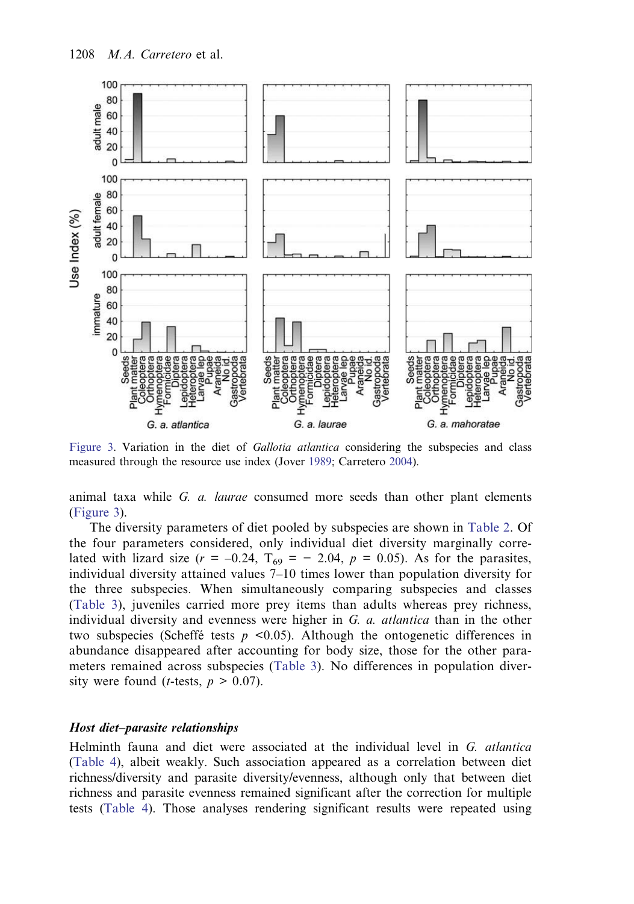<span id="page-9-0"></span>

Figure 3. Variation in the diet of *Gallotia atlantica* considering the subspecies and class measured through the resource use index (Jover [1989](#page-15-0); Carretero [2004](#page-14-0)).

animal taxa while  $G.$   $a.$  *laurae* consumed more seeds than other plant elements (Figure 3).

The diversity parameters of diet pooled by subspecies are shown in [Table 2.](#page-6-0) Of the four parameters considered, only individual diet diversity marginally correlated with lizard size ( $r = -0.24$ ,  $T_{69} = -2.04$ ,  $p = 0.05$ ). As for the parasites, individual diversity attained values 7–10 times lower than population diversity for the three subspecies. When simultaneously comparing subspecies and classes [\(Table 3\)](#page-7-0), juveniles carried more prey items than adults whereas prey richness, individual diversity and evenness were higher in G. a. atlantica than in the other two subspecies (Scheffé tests  $p \le 0.05$ ). Although the ontogenetic differences in abundance disappeared after accounting for body size, those for the other parameters remained across subspecies ([Table 3\)](#page-7-0). No differences in population diversity were found (*t*-tests,  $p > 0.07$ ).

# Host diet–parasite relationships

Helminth fauna and diet were associated at the individual level in G. atlantica [\(Table 4\)](#page-10-0), albeit weakly. Such association appeared as a correlation between diet richness/diversity and parasite diversity/evenness, although only that between diet richness and parasite evenness remained significant after the correction for multiple tests ([Table 4](#page-10-0)). Those analyses rendering significant results were repeated using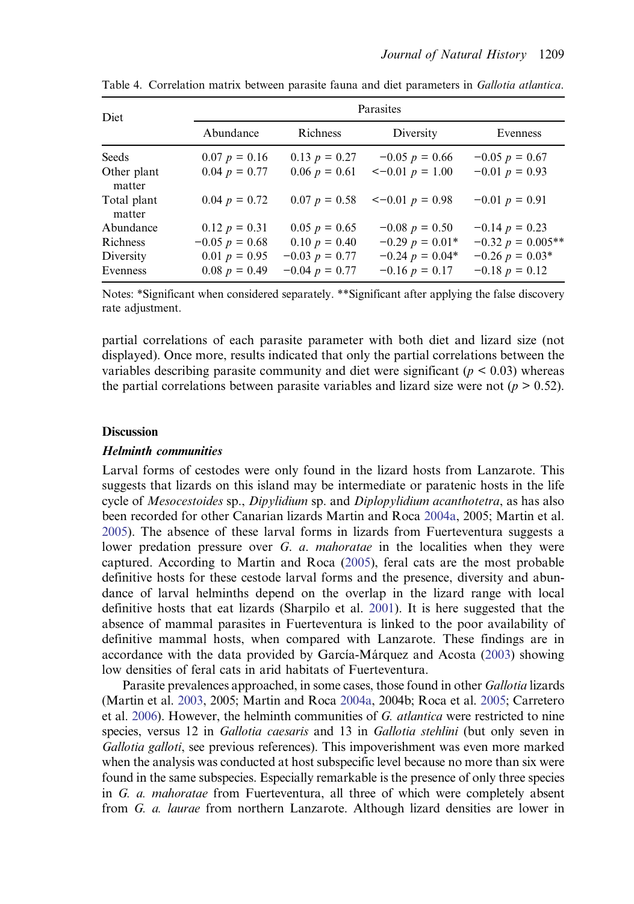| Diet                  |                  |                    | Parasites               |                     |
|-----------------------|------------------|--------------------|-------------------------|---------------------|
|                       | Abundance        | <b>Richness</b>    | Diversity               | Evenness            |
| Seeds                 | $0.07 p = 0.16$  | $0.13 p = 0.27$    | $-0.05 p = 0.66$        | $-0.05 p = 0.67$    |
| Other plant<br>matter | $0.04 p = 0.77$  | $0.06 p = 0.61$    | $<-0.01 p = 1.00$       | $-0.01 p = 0.93$    |
| Total plant<br>matter | $0.04 p = 0.72$  | $0.07 p = 0.58$    | $\leq -0.01$ $p = 0.98$ | $-0.01 p = 0.91$    |
| Abundance             | $0.12 p = 0.31$  | $0.05 p = 0.65$    | $-0.08 p = 0.50$        | $-0.14 p = 0.23$    |
| <b>R</b> ichness      | $-0.05 p = 0.68$ | $0.10 p = 0.40$    | $-0.29 p = 0.01*$       | $-0.32 p = 0.005**$ |
| Diversity             | 0.01 $p = 0.95$  | $-0.03$ $p = 0.77$ | $-0.24$ $p = 0.04*$     | $-0.26$ $p = 0.03*$ |
| Evenness              | $0.08 p = 0.49$  | $-0.04 p = 0.77$   | $-0.16 p = 0.17$        | $-0.18 p = 0.12$    |

<span id="page-10-0"></span>Table 4. Correlation matrix between parasite fauna and diet parameters in Gallotia atlantica.

Notes: \*Significant when considered separately. \*\*Significant after applying the false discovery rate adjustment.

partial correlations of each parasite parameter with both diet and lizard size (not displayed). Once more, results indicated that only the partial correlations between the variables describing parasite community and diet were significant ( $p < 0.03$ ) whereas the partial correlations between parasite variables and lizard size were not  $(p > 0.52)$ .

#### **Discussion**

# Helminth communities

Larval forms of cestodes were only found in the lizard hosts from Lanzarote. This suggests that lizards on this island may be intermediate or paratenic hosts in the life cycle of Mesocestoides sp., Dipylidium sp. and Diplopylidium acanthotetra, as has also been recorded for other Canarian lizards Martin and Roca [2004a](#page-15-0), 2005; Martin et al. [2005](#page-15-0)). The absence of these larval forms in lizards from Fuerteventura suggests a lower predation pressure over G. a. mahoratae in the localities when they were captured. According to Martin and Roca ([2005\)](#page-15-0), feral cats are the most probable definitive hosts for these cestode larval forms and the presence, diversity and abundance of larval helminths depend on the overlap in the lizard range with local definitive hosts that eat lizards (Sharpilo et al. [2001](#page-16-0)). It is here suggested that the absence of mammal parasites in Fuerteventura is linked to the poor availability of definitive mammal hosts, when compared with Lanzarote. These findings are in accordance with the data provided by García-Márquez and Acosta ([2003\)](#page-14-0) showing low densities of feral cats in arid habitats of Fuerteventura.

Parasite prevalences approached, in some cases, those found in other Gallotia lizards (Martin et al. [2003](#page-15-0), 2005; Martin and Roca [2004a](#page-15-0), 2004b; Roca et al. [2005;](#page-16-0) Carretero et al. [2006](#page-14-0)). However, the helminth communities of G. atlantica were restricted to nine species, versus 12 in Gallotia caesaris and 13 in Gallotia stehlini (but only seven in Gallotia galloti, see previous references). This impoverishment was even more marked when the analysis was conducted at host subspecific level because no more than six were found in the same subspecies. Especially remarkable is the presence of only three species in G. a. mahoratae from Fuerteventura, all three of which were completely absent from G. a. laurae from northern Lanzarote. Although lizard densities are lower in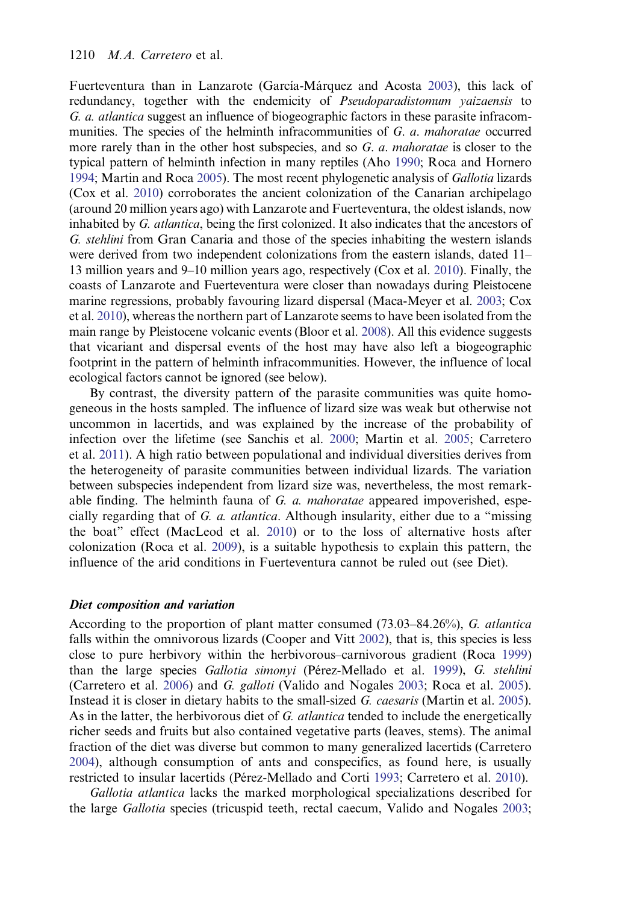Fuerteventura than in Lanzarote (García-Márquez and Acosta [2003\)](#page-14-0), this lack of redundancy, together with the endemicity of *Pseudoparadistomum vaizaensis* to G. a. atlantica suggest an influence of biogeographic factors in these parasite infracommunities. The species of the helminth infracommunities of  $G$ .  $a$ . mahoratae occurred more rarely than in the other host subspecies, and so  $G$ .  $a$ . *mahoratae* is closer to the typical pattern of helminth infection in many reptiles (Aho [1990;](#page-13-0) Roca and Hornero [1994;](#page-16-0) Martin and Roca [2005](#page-15-0)). The most recent phylogenetic analysis of Gallotia lizards (Cox et al. [2010\)](#page-14-0) corroborates the ancient colonization of the Canarian archipelago (around 20 million years ago) with Lanzarote and Fuerteventura, the oldest islands, now inhabited by G. atlantica, being the first colonized. It also indicates that the ancestors of G. stehlini from Gran Canaria and those of the species inhabiting the western islands were derived from two independent colonizations from the eastern islands, dated 11– 13 million years and 9–10 million years ago, respectively (Cox et al. [2010](#page-14-0)). Finally, the coasts of Lanzarote and Fuerteventura were closer than nowadays during Pleistocene marine regressions, probably favouring lizard dispersal (Maca-Meyer et al. [2003;](#page-15-0) Cox et al. [2010](#page-14-0)), whereas the northern part of Lanzarote seems to have been isolated from the main range by Pleistocene volcanic events (Bloor et al. [2008](#page-14-0)). All this evidence suggests that vicariant and dispersal events of the host may have also left a biogeographic footprint in the pattern of helminth infracommunities. However, the influence of local ecological factors cannot be ignored (see below).

By contrast, the diversity pattern of the parasite communities was quite homogeneous in the hosts sampled. The influence of lizard size was weak but otherwise not uncommon in lacertids, and was explained by the increase of the probability of infection over the lifetime (see Sanchis et al. [2000;](#page-16-0) Martin et al. [2005;](#page-15-0) Carretero et al. [2011](#page-14-0)). A high ratio between populational and individual diversities derives from the heterogeneity of parasite communities between individual lizards. The variation between subspecies independent from lizard size was, nevertheless, the most remarkable finding. The helminth fauna of  $G$ .  $a$ . mahoratae appeared impoverished, especially regarding that of G. a. atlantica. Although insularity, either due to a "missing the boat" effect (MacLeod et al. [2010\)](#page-15-0) or to the loss of alternative hosts after colonization (Roca et al. [2009\)](#page-16-0), is a suitable hypothesis to explain this pattern, the influence of the arid conditions in Fuerteventura cannot be ruled out (see Diet).

# Diet composition and variation

According to the proportion of plant matter consumed (73.03–84.26%), G. atlantica falls within the omnivorous lizards (Cooper and Vitt [2002](#page-14-0)), that is, this species is less close to pure herbivory within the herbivorous–carnivorous gradient (Roca [1999\)](#page-16-0) than the large species Gallotia simonyi (Pérez-Mellado et al. [1999\)](#page-16-0), G. stehlini (Carretero et al. [2006\)](#page-14-0) and G. galloti (Valido and Nogales [2003;](#page-16-0) Roca et al. [2005\)](#page-16-0). Instead it is closer in dietary habits to the small-sized G. caesaris (Martin et al. [2005\)](#page-15-0). As in the latter, the herbivorous diet of G. *atlantica* tended to include the energetically richer seeds and fruits but also contained vegetative parts (leaves, stems). The animal fraction of the diet was diverse but common to many generalized lacertids (Carretero [2004\)](#page-14-0), although consumption of ants and conspecifics, as found here, is usually restricted to insular lacertids (Pérez-Mellado and Corti [1993](#page-16-0); Carretero et al. [2010\)](#page-14-0).

Gallotia atlantica lacks the marked morphological specializations described for the large Gallotia species (tricuspid teeth, rectal caecum, Valido and Nogales [2003](#page-16-0);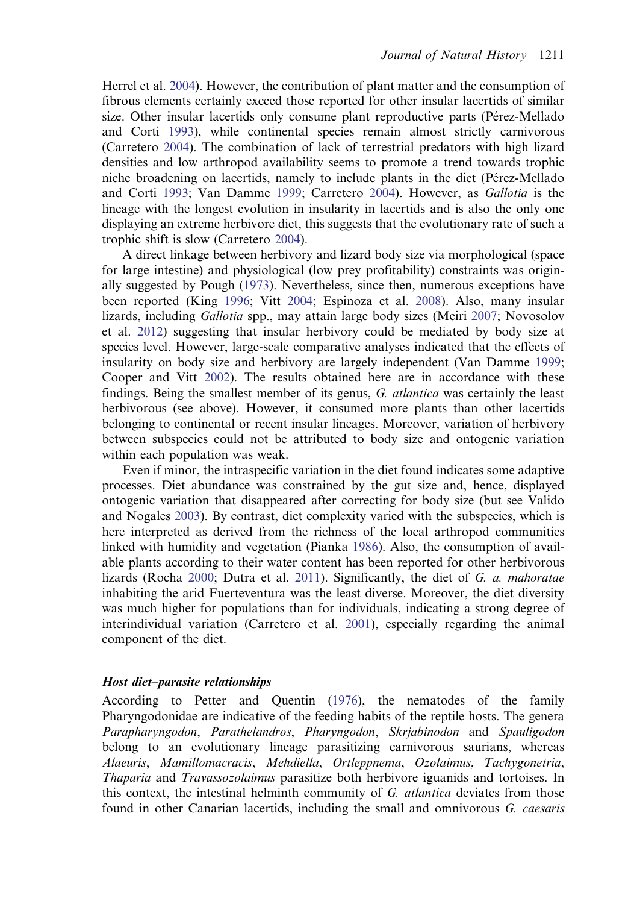Herrel et al. [2004\)](#page-15-0). However, the contribution of plant matter and the consumption of fibrous elements certainly exceed those reported for other insular lacertids of similar size. Other insular lacertids only consume plant reproductive parts (Pérez-Mellado and Corti [1993](#page-16-0)), while continental species remain almost strictly carnivorous (Carretero [2004](#page-14-0)). The combination of lack of terrestrial predators with high lizard densities and low arthropod availability seems to promote a trend towards trophic niche broadening on lacertids, namely to include plants in the diet (Pérez-Mellado and Corti [1993;](#page-16-0) Van Damme [1999;](#page-17-0) Carretero [2004\)](#page-14-0). However, as Gallotia is the lineage with the longest evolution in insularity in lacertids and is also the only one displaying an extreme herbivore diet, this suggests that the evolutionary rate of such a trophic shift is slow (Carretero [2004\)](#page-14-0).

A direct linkage between herbivory and lizard body size via morphological (space for large intestine) and physiological (low prey profitability) constraints was originally suggested by Pough ([1973\)](#page-16-0). Nevertheless, since then, numerous exceptions have been reported (King [1996](#page-15-0); Vitt [2004;](#page-17-0) Espinoza et al. [2008\)](#page-14-0). Also, many insular lizards, including Gallotia spp., may attain large body sizes (Meiri [2007;](#page-15-0) Novosolov et al. [2012\)](#page-16-0) suggesting that insular herbivory could be mediated by body size at species level. However, large-scale comparative analyses indicated that the effects of insularity on body size and herbivory are largely independent (Van Damme [1999;](#page-17-0) Cooper and Vitt [2002\)](#page-14-0). The results obtained here are in accordance with these findings. Being the smallest member of its genus, G. atlantica was certainly the least herbivorous (see above). However, it consumed more plants than other lacertids belonging to continental or recent insular lineages. Moreover, variation of herbivory between subspecies could not be attributed to body size and ontogenic variation within each population was weak.

Even if minor, the intraspecific variation in the diet found indicates some adaptive processes. Diet abundance was constrained by the gut size and, hence, displayed ontogenic variation that disappeared after correcting for body size (but see Valido and Nogales [2003\)](#page-16-0). By contrast, diet complexity varied with the subspecies, which is here interpreted as derived from the richness of the local arthropod communities linked with humidity and vegetation (Pianka [1986](#page-16-0)). Also, the consumption of available plants according to their water content has been reported for other herbivorous lizards (Rocha [2000;](#page-16-0) Dutra et al. [2011\)](#page-14-0). Significantly, the diet of  $G$ . a. mahoratae inhabiting the arid Fuerteventura was the least diverse. Moreover, the diet diversity was much higher for populations than for individuals, indicating a strong degree of interindividual variation (Carretero et al. [2001\)](#page-14-0), especially regarding the animal component of the diet.

# Host diet–parasite relationships

According to Petter and Quentin ([1976](#page-16-0)), the nematodes of the family Pharyngodonidae are indicative of the feeding habits of the reptile hosts. The genera Parapharyngodon, Parathelandros, Pharyngodon, Skrjabinodon and Spauligodon belong to an evolutionary lineage parasitizing carnivorous saurians, whereas Alaeuris, Mamillomacracis, Mehdiella, Ortleppnema, Ozolaimus, Tachygonetria, Thaparia and Travassozolaimus parasitize both herbivore iguanids and tortoises. In this context, the intestinal helminth community of G. atlantica deviates from those found in other Canarian lacertids, including the small and omnivorous G. caesaris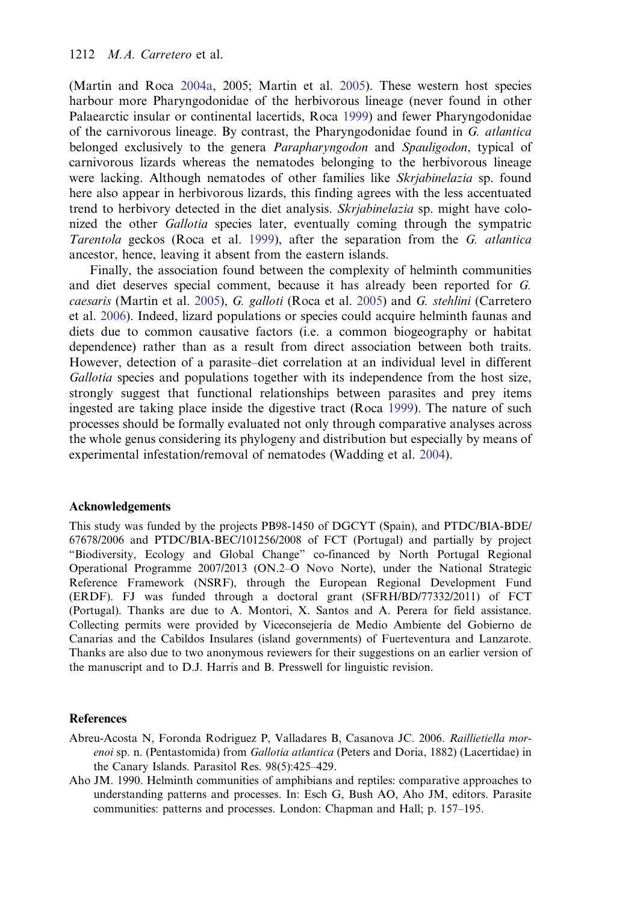<span id="page-13-0"></span>(Martin and Roca [2004a,](#page-15-0) 2005; Martin et al. [2005](#page-15-0)). These western host species harbour more Pharyngodonidae of the herbivorous lineage (never found in other Palaearctic insular or continental lacertids, Roca [1999\)](#page-16-0) and fewer Pharyngodonidae of the carnivorous lineage. By contrast, the Pharyngodonidae found in G. atlantica belonged exclusively to the genera *Parapharyngodon* and *Spauligodon*, typical of carnivorous lizards whereas the nematodes belonging to the herbivorous lineage were lacking. Although nematodes of other families like *Skrjabinelazia* sp. found here also appear in herbivorous lizards, this finding agrees with the less accentuated trend to herbivory detected in the diet analysis. Skrjabinelazia sp. might have colonized the other Gallotia species later, eventually coming through the sympatric Tarentola geckos (Roca et al. [1999\)](#page-16-0), after the separation from the G. atlantica ancestor, hence, leaving it absent from the eastern islands.

Finally, the association found between the complexity of helminth communities and diet deserves special comment, because it has already been reported for G. caesaris (Martin et al. [2005](#page-15-0)), G. galloti (Roca et al. [2005\)](#page-16-0) and G. stehlini (Carretero et al. [2006](#page-14-0)). Indeed, lizard populations or species could acquire helminth faunas and diets due to common causative factors (i.e. a common biogeography or habitat dependence) rather than as a result from direct association between both traits. However, detection of a parasite–diet correlation at an individual level in different Gallotia species and populations together with its independence from the host size, strongly suggest that functional relationships between parasites and prey items ingested are taking place inside the digestive tract (Roca [1999](#page-16-0)). The nature of such processes should be formally evaluated not only through comparative analyses across the whole genus considering its phylogeny and distribution but especially by means of experimental infestation/removal of nematodes (Wadding et al. [2004\)](#page-17-0).

# Acknowledgements

This study was funded by the projects PB98-1450 of DGCYT (Spain), and PTDC/BIA-BDE/ 67678/2006 and PTDC/BIA-BEC/101256/2008 of FCT (Portugal) and partially by project "Biodiversity, Ecology and Global Change" co-financed by North Portugal Regional Operational Programme 2007/2013 (ON.2–O Novo Norte), under the National Strategic Reference Framework (NSRF), through the European Regional Development Fund (ERDF). FJ was funded through a doctoral grant (SFRH/BD/77332/2011) of FCT (Portugal). Thanks are due to A. Montori, X. Santos and A. Perera for field assistance. Collecting permits were provided by Viceconsejería de Medio Ambiente del Gobierno de Canarias and the Cabildos Insulares (island governments) of Fuerteventura and Lanzarote. Thanks are also due to two anonymous reviewers for their suggestions on an earlier version of the manuscript and to D.J. Harris and B. Presswell for linguistic revision.

#### References

- Abreu-Acosta N, Foronda Rodriguez P, Valladares B, Casanova JC. 2006. Raillietiella morenoi sp. n. (Pentastomida) from Gallotia atlantica (Peters and Doria, 1882) (Lacertidae) in the Canary Islands. Parasitol Res. 98(5):425–429.
- Aho JM. 1990. Helminth communities of amphibians and reptiles: comparative approaches to understanding patterns and processes. In: Esch G, Bush AO, Aho JM, editors. Parasite communities: patterns and processes. London: Chapman and Hall; p. 157–195.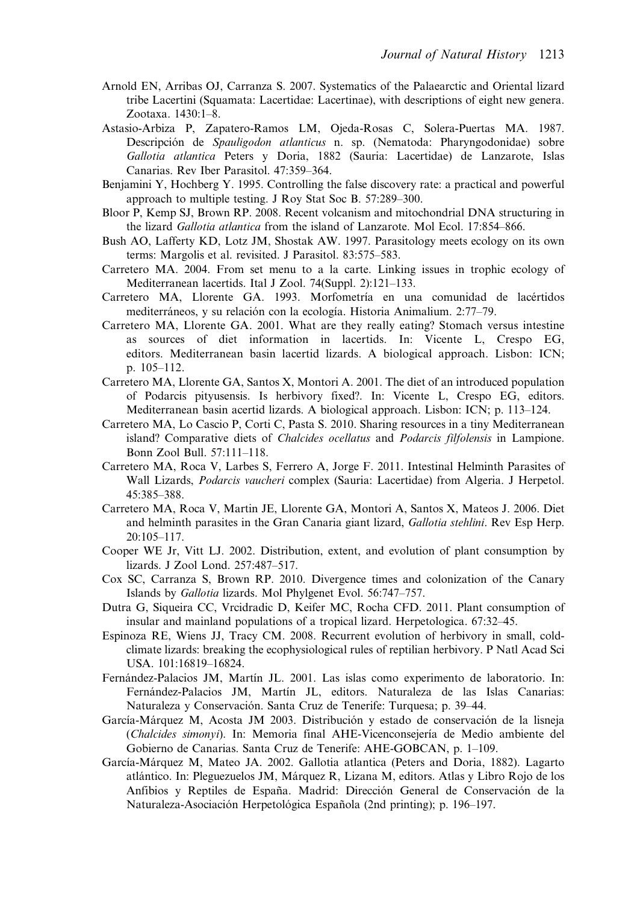- <span id="page-14-0"></span>Arnold EN, Arribas OJ, Carranza S. 2007. Systematics of the Palaearctic and Oriental lizard tribe Lacertini (Squamata: Lacertidae: Lacertinae), with descriptions of eight new genera. Zootaxa. 1430:1–8.
- Astasio-Arbiza P, Zapatero-Ramos LM, Ojeda-Rosas C, Solera-Puertas MA. 1987. Descripción de Spauligodon atlanticus n. sp. (Nematoda: Pharyngodonidae) sobre Gallotia atlantica Peters y Doria, 1882 (Sauria: Lacertidae) de Lanzarote, Islas Canarias. Rev Iber Parasitol. 47:359–364.
- Benjamini Y, Hochberg Y. 1995. Controlling the false discovery rate: a practical and powerful approach to multiple testing. J Roy Stat Soc B. 57:289–300.
- Bloor P, Kemp SJ, Brown RP. 2008. Recent volcanism and mitochondrial DNA structuring in the lizard *Gallotia atlantica* from the island of Lanzarote. Mol Ecol. 17:854–866.
- Bush AO, Lafferty KD, Lotz JM, Shostak AW. 1997. Parasitology meets ecology on its own terms: Margolis et al. revisited. J Parasitol. 83:575–583.
- Carretero MA. 2004. From set menu to a la carte. Linking issues in trophic ecology of Mediterranean lacertids. Ital J Zool. 74(Suppl. 2):121–133.
- Carretero MA, Llorente GA. 1993. Morfometría en una comunidad de lacértidos mediterráneos, y su relación con la ecología. Historia Animalium. 2:77–79.
- Carretero MA, Llorente GA. 2001. What are they really eating? Stomach versus intestine as sources of diet information in lacertids. In: Vicente L, Crespo EG, editors. Mediterranean basin lacertid lizards. A biological approach. Lisbon: ICN; p. 105–112.
- Carretero MA, Llorente GA, Santos X, Montori A. 2001. The diet of an introduced population of Podarcis pityusensis. Is herbivory fixed?. In: Vicente L, Crespo EG, editors. Mediterranean basin acertid lizards. A biological approach. Lisbon: ICN; p. 113–124.
- Carretero MA, Lo Cascio P, Corti C, Pasta S. 2010. Sharing resources in a tiny Mediterranean island? Comparative diets of Chalcides ocellatus and Podarcis filfolensis in Lampione. Bonn Zool Bull. 57:111–118.
- Carretero MA, Roca V, Larbes S, Ferrero A, Jorge F. 2011. Intestinal Helminth Parasites of Wall Lizards, Podarcis vaucheri complex (Sauria: Lacertidae) from Algeria. J Herpetol. 45:385–388.
- Carretero MA, Roca V, Martin JE, Llorente GA, Montori A, Santos X, Mateos J. 2006. Diet and helminth parasites in the Gran Canaria giant lizard, Gallotia stehlini. Rev Esp Herp. 20:105–117.
- Cooper WE Jr, Vitt LJ. 2002. Distribution, extent, and evolution of plant consumption by lizards. J Zool Lond. 257:487–517.
- Cox SC, Carranza S, Brown RP. 2010. Divergence times and colonization of the Canary Islands by Gallotia lizards. Mol Phylgenet Evol. 56:747–757.
- Dutra G, Siqueira CC, Vrcidradic D, Keifer MC, Rocha CFD. 2011. Plant consumption of insular and mainland populations of a tropical lizard. Herpetologica. 67:32–45.
- Espinoza RE, Wiens JJ, Tracy CM. 2008. Recurrent evolution of herbivory in small, coldclimate lizards: breaking the ecophysiological rules of reptilian herbivory. P Natl Acad Sci USA. 101:16819–16824.
- Fernández-Palacios JM, Martín JL. 2001. Las islas como experimento de laboratorio. In: Fernández-Palacios JM, Martín JL, editors. Naturaleza de las Islas Canarias: Naturaleza y Conservación. Santa Cruz de Tenerife: Turquesa; p. 39–44.
- García-Márquez M, Acosta JM 2003. Distribución y estado de conservación de la lisneja (Chalcides simonyi). In: Memoria final AHE-Vicenconsejería de Medio ambiente del Gobierno de Canarias. Santa Cruz de Tenerife: AHE-GOBCAN, p. 1–109.
- García-Márquez M, Mateo JA. 2002. Gallotia atlantica (Peters and Doria, 1882). Lagarto atlántico. In: Pleguezuelos JM, Márquez R, Lizana M, editors. Atlas y Libro Rojo de los Anfibios y Reptiles de España. Madrid: Dirección General de Conservación de la Naturaleza-Asociación Herpetológica Española (2nd printing); p. 196–197.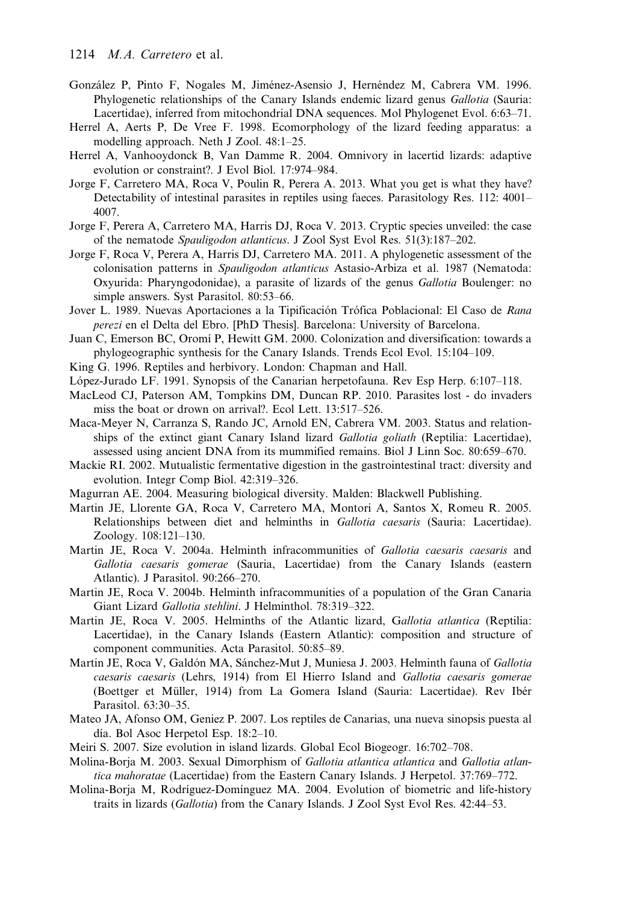- <span id="page-15-0"></span>González P, Pinto F, Nogales M, Jiménez-Asensio J, Hernéndez M, Cabrera VM. 1996. Phylogenetic relationships of the Canary Islands endemic lizard genus Gallotia (Sauria: Lacertidae), inferred from mitochondrial DNA sequences. Mol Phylogenet Evol. 6:63–71.
- Herrel A, Aerts P, De Vree F. 1998. Ecomorphology of the lizard feeding apparatus: a modelling approach. Neth J Zool. 48:1–25.
- Herrel A, Vanhooydonck B, Van Damme R. 2004. Omnivory in lacertid lizards: adaptive evolution or constraint?. J Evol Biol. 17:974–984.
- Jorge F, Carretero MA, Roca V, Poulin R, Perera A. 2013. What you get is what they have? Detectability of intestinal parasites in reptiles using faeces. Parasitology Res. 112: 4001– 4007.
- Jorge F, Perera A, Carretero MA, Harris DJ, Roca V. 2013. Cryptic species unveiled: the case of the nematode Spauligodon atlanticus. J Zool Syst Evol Res. 51(3):187–202.
- Jorge F, Roca V, Perera A, Harris DJ, Carretero MA. 2011. A phylogenetic assessment of the colonisation patterns in Spauligodon atlanticus Astasio-Arbiza et al. 1987 (Nematoda: Oxyurida: Pharyngodonidae), a parasite of lizards of the genus Gallotia Boulenger: no simple answers. Syst Parasitol. 80:53–66.
- Jover L. 1989. Nuevas Aportaciones a la Tipificación Trófica Poblacional: El Caso de Rana perezi en el Delta del Ebro. [PhD Thesis]. Barcelona: University of Barcelona.
- Juan C, Emerson BC, Oromí P, Hewitt GM. 2000. Colonization and diversification: towards a phylogeographic synthesis for the Canary Islands. Trends Ecol Evol. 15:104–109.
- King G. 1996. Reptiles and herbivory. London: Chapman and Hall.
- López-Jurado LF. 1991. Synopsis of the Canarian herpetofauna. Rev Esp Herp. 6:107–118.
- MacLeod CJ, Paterson AM, Tompkins DM, Duncan RP. 2010. Parasites lost do invaders miss the boat or drown on arrival?. Ecol Lett. 13:517–526.
- Maca-Meyer N, Carranza S, Rando JC, Arnold EN, Cabrera VM. 2003. Status and relationships of the extinct giant Canary Island lizard Gallotia goliath (Reptilia: Lacertidae), assessed using ancient DNA from its mummified remains. Biol J Linn Soc. 80:659–670.
- Mackie RI. 2002. Mutualistic fermentative digestion in the gastrointestinal tract: diversity and evolution. Integr Comp Biol. 42:319–326.
- Magurran AE. 2004. Measuring biological diversity. Malden: Blackwell Publishing.
- Martin JE, Llorente GA, Roca V, Carretero MA, Montori A, Santos X, Romeu R. 2005. Relationships between diet and helminths in Gallotia caesaris (Sauria: Lacertidae). Zoology. 108:121–130.
- Martin JE, Roca V. 2004a. Helminth infracommunities of Gallotia caesaris caesaris and Gallotia caesaris gomerae (Sauria, Lacertidae) from the Canary Islands (eastern Atlantic). J Parasitol. 90:266–270.
- Martin JE, Roca V. 2004b. Helminth infracommunities of a population of the Gran Canaria Giant Lizard Gallotia stehlini. J Helminthol. 78:319–322.
- Martin JE, Roca V. 2005. Helminths of the Atlantic lizard, Gallotia atlantica (Reptilia: Lacertidae), in the Canary Islands (Eastern Atlantic): composition and structure of component communities. Acta Parasitol. 50:85–89.
- Martin JE, Roca V, Galdón MA, Sánchez-Mut J, Muniesa J. 2003. Helminth fauna of Gallotia caesaris caesaris (Lehrs, 1914) from El Hierro Island and Gallotia caesaris gomerae (Boettger et Müller, 1914) from La Gomera Island (Sauria: Lacertidae). Rev Ibér Parasitol. 63:30–35.
- Mateo JA, Afonso OM, Geniez P. 2007. Los reptiles de Canarias, una nueva sinopsis puesta al día. Bol Asoc Herpetol Esp. 18:2–10.
- Meiri S. 2007. Size evolution in island lizards. Global Ecol Biogeogr. 16:702–708.
- Molina-Borja M. 2003. Sexual Dimorphism of Gallotia atlantica atlantica and Gallotia atlantica mahoratae (Lacertidae) from the Eastern Canary Islands. J Herpetol. 37:769–772.
- Molina-Borja M, Rodríguez-Domínguez MA. 2004. Evolution of biometric and life-history traits in lizards (Gallotia) from the Canary Islands. J Zool Syst Evol Res. 42:44–53.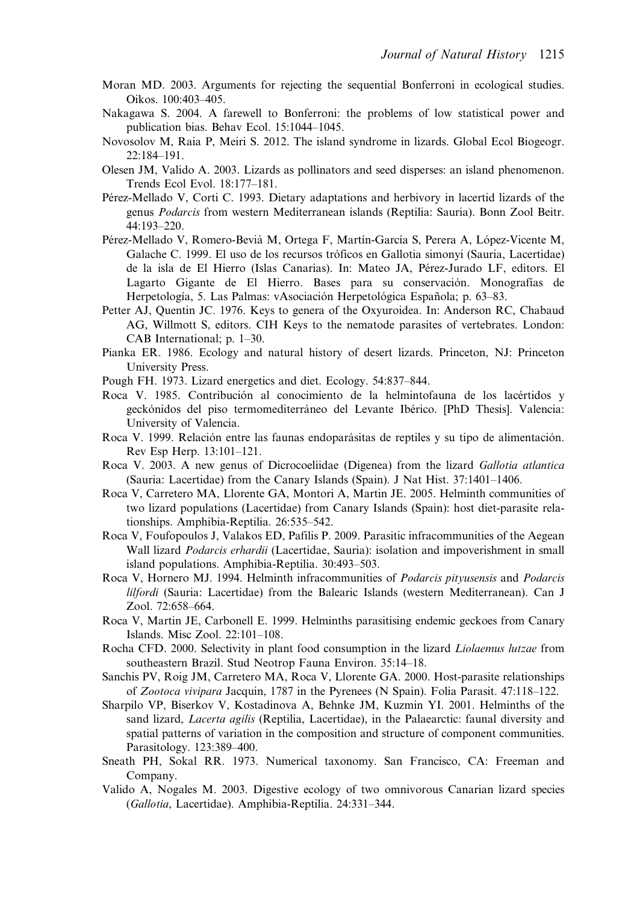- <span id="page-16-0"></span>Moran MD. 2003. Arguments for rejecting the sequential Bonferroni in ecological studies. Oikos. 100:403–405.
- Nakagawa S. 2004. A farewell to Bonferroni: the problems of low statistical power and publication bias. Behav Ecol. 15:1044–1045.
- Novosolov M, Raia P, Meiri S. 2012. The island syndrome in lizards. Global Ecol Biogeogr. 22:184–191.
- Olesen JM, Valido A. 2003. Lizards as pollinators and seed disperses: an island phenomenon. Trends Ecol Evol. 18:177–181.
- Pérez-Mellado V, Corti C. 1993. Dietary adaptations and herbivory in lacertid lizards of the genus Podarcis from western Mediterranean islands (Reptilia: Sauria). Bonn Zool Beitr. 44:193–220.
- Pérez-Mellado V, Romero-Beviá M, Ortega F, Martín-García S, Perera A, López-Vicente M, Galache C. 1999. El uso de los recursos tróficos en Gallotia simonyi (Sauria, Lacertidae) de la isla de El Hierro (Islas Canarias). In: Mateo JA, Pérez-Jurado LF, editors. El Lagarto Gigante de El Hierro. Bases para su conservación. Monografías de Herpetología, 5. Las Palmas: vAsociación Herpetológica Española; p. 63–83.
- Petter AJ, Quentin JC. 1976. Keys to genera of the Oxyuroidea. In: Anderson RC, Chabaud AG, Willmott S, editors. CIH Keys to the nematode parasites of vertebrates. London: CAB International; p. 1–30.
- Pianka ER. 1986. Ecology and natural history of desert lizards. Princeton, NJ: Princeton University Press.
- Pough FH. 1973. Lizard energetics and diet. Ecology. 54:837–844.
- Roca V. 1985. Contribución al conocimiento de la helmintofauna de los lacértidos y geckónidos del piso termomediterráneo del Levante Ibérico. [PhD Thesis]. Valencia: University of Valencia.
- Roca V. 1999. Relación entre las faunas endoparásitas de reptiles y su tipo de alimentación. Rev Esp Herp. 13:101–121.
- Roca V. 2003. A new genus of Dicrocoeliidae (Digenea) from the lizard Gallotia atlantica (Sauria: Lacertidae) from the Canary Islands (Spain). J Nat Hist. 37:1401–1406.
- Roca V, Carretero MA, Llorente GA, Montori A, Martin JE. 2005. Helminth communities of two lizard populations (Lacertidae) from Canary Islands (Spain): host diet-parasite relationships. Amphibia-Reptilia. 26:535–542.
- Roca V, Foufopoulos J, Valakos ED, Pafilis P. 2009. Parasitic infracommunities of the Aegean Wall lizard Podarcis erhardii (Lacertidae, Sauria): isolation and impoverishment in small island populations. Amphibia-Reptilia. 30:493–503.
- Roca V, Hornero MJ. 1994. Helminth infracommunities of *Podarcis pityusensis* and *Podarcis* lilfordi (Sauria: Lacertidae) from the Balearic Islands (western Mediterranean). Can J Zool. 72:658–664.
- Roca V, Martin JE, Carbonell E. 1999. Helminths parasitising endemic geckoes from Canary Islands. Misc Zool. 22:101–108.
- Rocha CFD. 2000. Selectivity in plant food consumption in the lizard Liolaemus lutzae from southeastern Brazil. Stud Neotrop Fauna Environ. 35:14–18.
- Sanchis PV, Roig JM, Carretero MA, Roca V, Llorente GA. 2000. Host-parasite relationships of Zootoca vivipara Jacquin, 1787 in the Pyrenees (N Spain). Folia Parasit. 47:118–122.
- Sharpilo VP, Biserkov V, Kostadinova A, Behnke JM, Kuzmin YI. 2001. Helminths of the sand lizard, *Lacerta agilis* (Reptilia, Lacertidae), in the Palaearctic: faunal diversity and spatial patterns of variation in the composition and structure of component communities. Parasitology. 123:389–400.
- Sneath PH, Sokal RR. 1973. Numerical taxonomy. San Francisco, CA: Freeman and Company.
- Valido A, Nogales M. 2003. Digestive ecology of two omnivorous Canarian lizard species (Gallotia, Lacertidae). Amphibia-Reptilia. 24:331–344.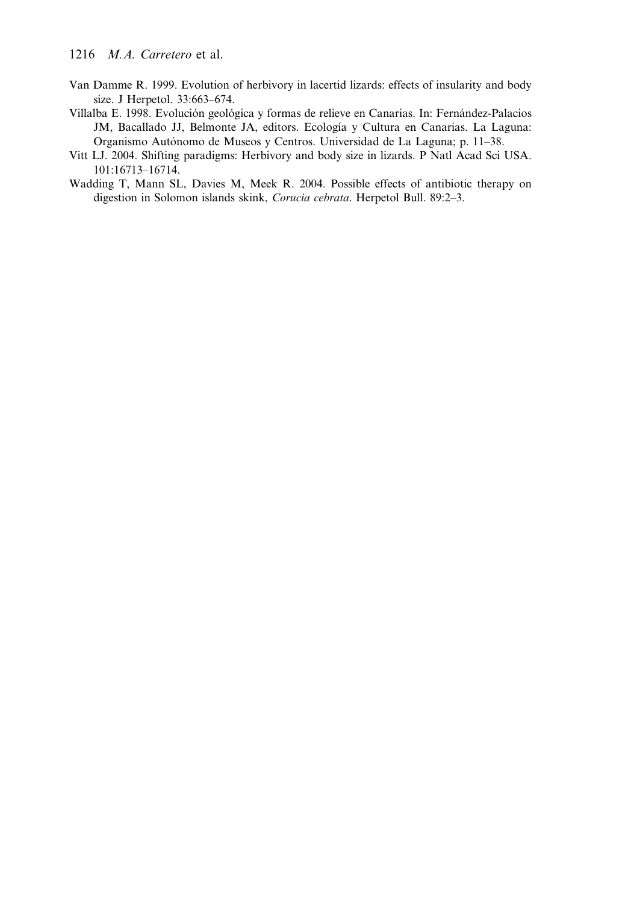- <span id="page-17-0"></span>Van Damme R. 1999. Evolution of herbivory in lacertid lizards: effects of insularity and body size. J Herpetol. 33:663–674.
- Villalba E. 1998. Evolución geológica y formas de relieve en Canarias. In: Fernández-Palacios JM, Bacallado JJ, Belmonte JA, editors. Ecología y Cultura en Canarias. La Laguna: Organismo Autónomo de Museos y Centros. Universidad de La Laguna; p. 11–38.
- Vitt LJ. 2004. Shifting paradigms: Herbivory and body size in lizards. P Natl Acad Sci USA. 101:16713–16714.
- Wadding T, Mann SL, Davies M, Meek R. 2004. Possible effects of antibiotic therapy on digestion in Solomon islands skink, Corucia cebrata. Herpetol Bull. 89:2–3.